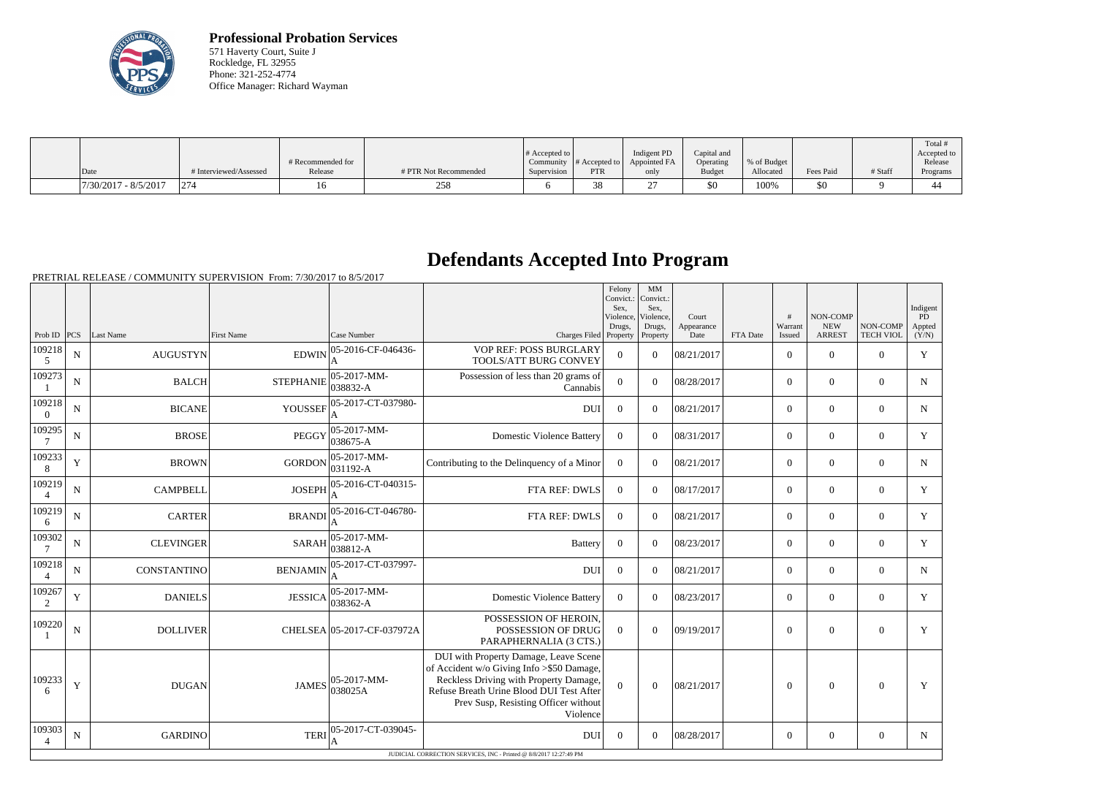

**Professional Probation Services** 571 Haverty Court, Suite J Rockledge, FL 32955 Phone: 321-252-4774 Office Manager: Richard Wayman

|                        |                      | # Recommended for |                             | # Accepted to  <br>Community | $\parallel$ # Accepted to $\parallel$ | Indigent PD<br>Appointed FA | Capital and<br>Operating | % of Budget |           |         | Total<br>Accepted to<br>Release |
|------------------------|----------------------|-------------------|-----------------------------|------------------------------|---------------------------------------|-----------------------------|--------------------------|-------------|-----------|---------|---------------------------------|
| Date                   | Interviewed/Assessed | Release           | # PTR Not Recommended       | Supervision                  | <b>PTR</b>                            | only                        | Budget                   | Allocated   | Fees Paid | # Staff | Programs                        |
| $7/30/2017 - 8/5/2017$ | 1274                 |                   | $\sim$ $\sim$ $\sim$<br>258 | n                            | $\sim$                                | $\sim$                      | \$0                      | 100%        | \$0       |         |                                 |

## **Defendants Accepted Into Program**

PRETRIAL RELEASE / COMMUNITY SUPERVISION From: 7/30/2017 to 8/5/2017

|                          |             |                  |                   |                                 |                                                                                                                                                                                                                              | Felony<br>Convict.:<br>Sex.<br>Violence,<br>Drugs, | MM<br>Convict.:<br>Sex.<br>Violence,<br>Drugs, | Court<br>Appearance |          | #<br>Warrant   | NON-COMP<br><b>NEW</b> | NON-COMP         | Indigent<br>PD<br>Appted |
|--------------------------|-------------|------------------|-------------------|---------------------------------|------------------------------------------------------------------------------------------------------------------------------------------------------------------------------------------------------------------------------|----------------------------------------------------|------------------------------------------------|---------------------|----------|----------------|------------------------|------------------|--------------------------|
| Prob ID $ PCS $          |             | Last Name        | <b>First Name</b> | Case Number                     | Charges Filed Property                                                                                                                                                                                                       |                                                    | Property                                       | Date                | FTA Date | Issued         | <b>ARREST</b>          | <b>TECH VIOL</b> | (Y/N)                    |
| 109218<br>5              | N           | <b>AUGUSTYN</b>  | <b>EDWIN</b>      | 05-2016-CF-046436-              | VOP REF: POSS BURGLARY<br>TOOLS/ATT BURG CONVEY                                                                                                                                                                              | $\overline{0}$                                     | $\Omega$                                       | 08/21/2017          |          | $\overline{0}$ | $\theta$               | $\Omega$         | Y                        |
| 109273                   | ${\bf N}$   | <b>BALCH</b>     | <b>STEPHANIE</b>  | 05-2017-MM-<br>038832-A         | Possession of less than 20 grams of<br>Cannabis                                                                                                                                                                              | $\Omega$                                           | $\Omega$                                       | 08/28/2017          |          | $\Omega$       | $\theta$               | $\Omega$         | $\mathbf N$              |
| 109218<br>$\theta$       | ${\bf N}$   | <b>BICANE</b>    | <b>YOUSSEF</b>    | 05-2017-CT-037980-<br>A         | <b>DUI</b>                                                                                                                                                                                                                   | $\Omega$                                           | $\Omega$                                       | 08/21/2017          |          | $\Omega$       | $\theta$               | $\overline{0}$   | $\mathbf N$              |
| 109295                   | $\mathbf N$ | <b>BROSE</b>     | PEGGY             | $ 05 - 2017 - MM -$<br>038675-A | <b>Domestic Violence Battery</b>                                                                                                                                                                                             | $\theta$                                           | $\Omega$                                       | 08/31/2017          |          | $\overline{0}$ | $\mathbf{0}$           | $\overline{0}$   | Y                        |
| 109233<br>8              | Y           | <b>BROWN</b>     | <b>GORDON</b>     | 05-2017-MM-<br>$ 031192-A $     | Contributing to the Delinquency of a Minor                                                                                                                                                                                   | $\overline{0}$                                     | $\Omega$                                       | 08/21/2017          |          | $\overline{0}$ | $\mathbf{0}$           | $\overline{0}$   | ${\bf N}$                |
| 109219<br>$\overline{4}$ | ${\bf N}$   | <b>CAMPBELL</b>  | <b>JOSEPH</b>     | 05-2016-CT-040315-<br>A         | FTA REF: DWLS                                                                                                                                                                                                                | $\overline{0}$                                     | $\Omega$                                       | 08/17/2017          |          | $\overline{0}$ | $\Omega$               | $\overline{0}$   | Y                        |
| 109219<br>6              | $\mathbf N$ | <b>CARTER</b>    | <b>BRANDI</b>     | 05-2016-CT-046780-              | FTA REF: DWLS                                                                                                                                                                                                                | $\boldsymbol{0}$                                   | $\Omega$                                       | 08/21/2017          |          | $\overline{0}$ | $\overline{0}$         | $\overline{0}$   | Y                        |
| 109302                   | $\mathbf N$ | <b>CLEVINGER</b> | <b>SARAH</b>      | $ 05-2017-MM-$<br>038812-A      | <b>Battery</b>                                                                                                                                                                                                               | $\theta$                                           | $\Omega$                                       | 08/23/2017          |          | $\overline{0}$ | $\theta$               | $\overline{0}$   | Y                        |
| 109218<br>$\overline{4}$ | N           | CONSTANTINO      | <b>BENJAMIN</b>   | 05-2017-CT-037997-<br>A         | <b>DUI</b>                                                                                                                                                                                                                   | $\overline{0}$                                     | $\Omega$                                       | 08/21/2017          |          | $\overline{0}$ | $\mathbf{0}$           | $\overline{0}$   | $\mathbf N$              |
| 109267<br>2              | Y           | <b>DANIELS</b>   | <b>JESSICA</b>    | $ 05-2017-MM-$<br>038362-A      | <b>Domestic Violence Battery</b>                                                                                                                                                                                             | $\theta$                                           | $\Omega$                                       | 08/23/2017          |          | $\Omega$       | $\theta$               | $\Omega$         | Y                        |
| 109220                   | $\mathbf N$ | <b>DOLLIVER</b>  |                   | CHELSEA 05-2017-CF-037972A      | POSSESSION OF HEROIN.<br>POSSESSION OF DRUG<br>PARAPHERNALIA (3 CTS.)                                                                                                                                                        | $\Omega$                                           | $\Omega$                                       | 09/19/2017          |          | $\theta$       | $\theta$               | $\Omega$         | Y                        |
| 109233<br>-6             | $\mathbf Y$ | <b>DUGAN</b>     | <b>JAMES</b>      | 05-2017-MM-<br>038025A          | DUI with Property Damage, Leave Scene<br>of Accident w/o Giving Info >\$50 Damage,<br>Reckless Driving with Property Damage,<br>Refuse Breath Urine Blood DUI Test After<br>Prev Susp, Resisting Officer without<br>Violence | $\overline{0}$                                     | $\overline{0}$                                 | 08/21/2017          |          | $\overline{0}$ | $\theta$               | $\mathbf{0}$     | Y                        |
| 109303<br>$\overline{4}$ | N           | <b>GARDINO</b>   | <b>TERI</b>       | 05-2017-CT-039045-<br>A         | <b>DUI</b>                                                                                                                                                                                                                   | $\theta$                                           | $\Omega$                                       | 08/28/2017          |          | $\overline{0}$ | $\boldsymbol{0}$       | $\overline{0}$   | $\mathbf N$              |
|                          |             |                  |                   |                                 | JUDICIAL CORRECTION SERVICES, INC - Printed @ 8/8/2017 12:27:49 PM                                                                                                                                                           |                                                    |                                                |                     |          |                |                        |                  |                          |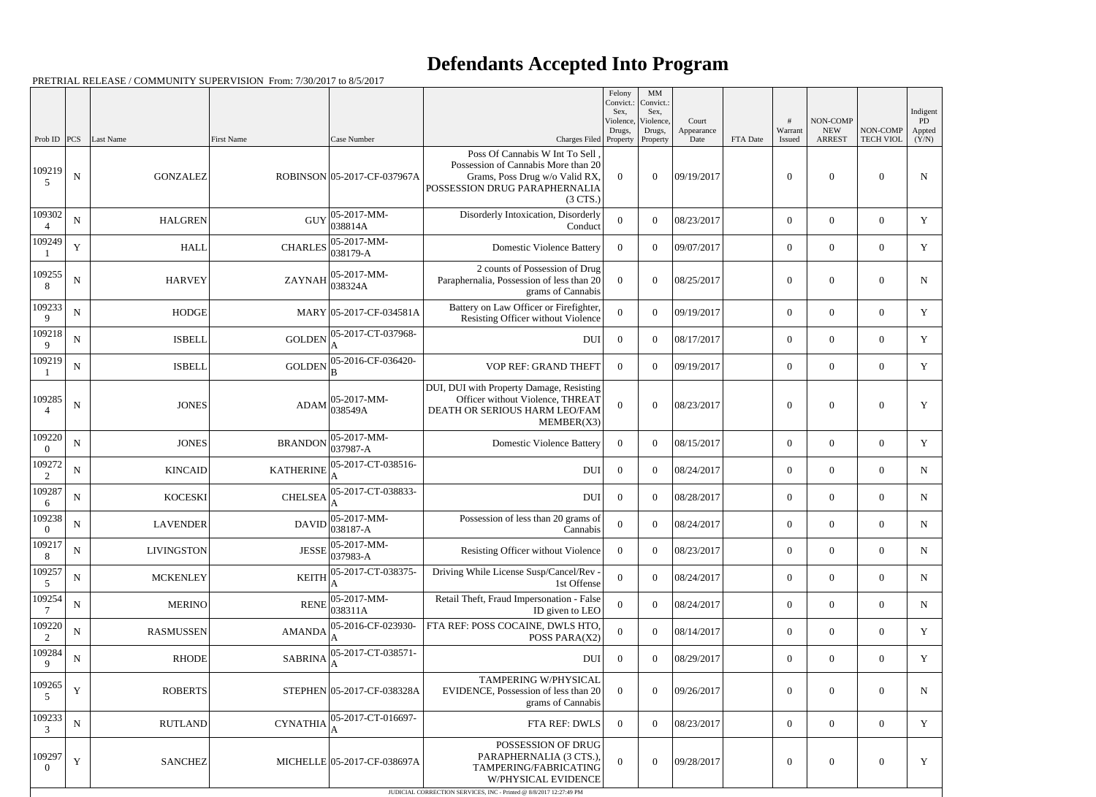## **Defendants Accepted Into Program**

PRETRIAL RELEASE / COMMUNITY SUPERVISION From: 7/30/2017 to 8/5/2017

|                                |             |                              |                   |                                                                     |                                                                                                                                                                                           | Felony<br>Convict.:<br>Sex, | $\mathbf{M}\mathbf{M}$<br>Convict.:<br>Sex, |                     |                 |                    |                               |                                      | Indigent     |
|--------------------------------|-------------|------------------------------|-------------------|---------------------------------------------------------------------|-------------------------------------------------------------------------------------------------------------------------------------------------------------------------------------------|-----------------------------|---------------------------------------------|---------------------|-----------------|--------------------|-------------------------------|--------------------------------------|--------------|
|                                |             |                              |                   |                                                                     |                                                                                                                                                                                           | Violence,<br>Drugs,         | Violence,<br>Drugs,                         | Court<br>Appearance |                 | #<br>Warrant       | NON-COMP<br><b>NEW</b>        | NON-COMP                             | PD<br>Appted |
| Prob ID $ PCS $<br>109219<br>5 | ${\bf N}$   | Last Name<br><b>GONZALEZ</b> | <b>First Name</b> | Case Number<br>ROBINSON 05-2017-CF-037967A                          | Charges Filed Property<br>Poss Of Cannabis W Int To Sell<br>Possession of Cannabis More than 20<br>Grams, Poss Drug w/o Valid RX,<br>POSSESSION DRUG PARAPHERNALIA<br>(3 <sup>CTS</sup> ) | $\overline{0}$              | Property<br>$\theta$                        | Date<br>09/19/2017  | <b>FTA</b> Date | Issued<br>$\theta$ | <b>ARREST</b><br>$\mathbf{0}$ | <b>TECH VIOL</b><br>$\boldsymbol{0}$ | (Y/N)<br>N   |
| 109302<br>$\Delta$             | ${\bf N}$   | <b>HALGREN</b>               | <b>GUY</b>        | $ 05-2017-MM-$<br>038814A                                           | Disorderly Intoxication, Disorderly<br>Conduct                                                                                                                                            | $\Omega$                    | $\Omega$                                    | 08/23/2017          |                 | $\overline{0}$     | $\theta$                      | $\overline{0}$                       | Y            |
| 109249                         | Y           | <b>HALL</b>                  |                   | CHARLES $\begin{array}{ l} 05-2017-MM-0.38179-A \end{array}$        | <b>Domestic Violence Battery</b>                                                                                                                                                          | $\theta$                    | $\Omega$                                    | 09/07/2017          |                 | $\overline{0}$     | $\overline{0}$                | $\overline{0}$                       | $\mathbf Y$  |
| 109255<br>8                    | ${\bf N}$   | <b>HARVEY</b>                | <b>ZAYNAH</b>     | $ 05-2017-MM-$<br>038324A                                           | 2 counts of Possession of Drug<br>Paraphernalia, Possession of less than 20<br>grams of Cannabis                                                                                          | $\Omega$                    | $\theta$                                    | 08/25/2017          |                 | $\theta$           | $\theta$                      | $\overline{0}$                       | $\mathbf N$  |
| 109233<br>9                    | $\mathbf N$ | <b>HODGE</b>                 |                   | MARY 05-2017-CF-034581A                                             | Battery on Law Officer or Firefighter,<br>Resisting Officer without Violence                                                                                                              | $\Omega$                    | $\theta$                                    | 09/19/2017          |                 | $\theta$           | $\overline{0}$                | $\overline{0}$                       | Y            |
| 109218<br>9                    | ${\bf N}$   | <b>ISBELL</b>                |                   | GOLDEN $ _{\star}^{05\text{-}2017\text{-}CT\text{-}037968\text{-}}$ | DUI                                                                                                                                                                                       | $\overline{0}$              | $\Omega$                                    | 08/17/2017          |                 | $\overline{0}$     | $\theta$                      | $\overline{0}$                       | Y            |
| 109219                         | ${\bf N}$   | <b>ISBELL</b>                | GOLDEN            | 05-2016-CF-036420-                                                  | VOP REF: GRAND THEFT                                                                                                                                                                      | $\Omega$                    | $\Omega$                                    | 09/19/2017          |                 | $\theta$           | $\overline{0}$                | $\overline{0}$                       | $\mathbf Y$  |
| 109285<br>$\overline{4}$       | ${\bf N}$   | <b>JONES</b>                 | ADAM              | $ 05-2017-MM-$<br>038549A                                           | DUI, DUI with Property Damage, Resisting<br>Officer without Violence, THREAT<br>DEATH OR SERIOUS HARM LEO/FAM<br>MEMBER(X3)                                                               | $\theta$                    | $\theta$                                    | 08/23/2017          |                 | $\theta$           | $\mathbf{0}$                  | $\overline{0}$                       | Y            |
| 109220<br>$\Omega$             | ${\bf N}$   | <b>JONES</b>                 | <b>BRANDON</b>    | $ 05-2017-MM-$<br>$ 037987 - A$                                     | <b>Domestic Violence Battery</b>                                                                                                                                                          | $\overline{0}$              | $\theta$                                    | 08/15/2017          |                 | $\overline{0}$     | $\boldsymbol{0}$              | $\overline{0}$                       | Y            |
| 109272<br>2                    | $\mathbf N$ | <b>KINCAID</b>               | <b>KATHERINE</b>  | 05-2017-CT-038516-                                                  | <b>DUI</b>                                                                                                                                                                                | $\overline{0}$              | $\theta$                                    | 08/24/2017          |                 | $\overline{0}$     | $\overline{0}$                | $\overline{0}$                       | $\mathbf N$  |
| 109287<br>6                    | ${\bf N}$   | <b>KOCESKI</b>               | <b>CHELSEA</b>    | 05-2017-CT-038833-                                                  | <b>DUI</b>                                                                                                                                                                                | $\overline{0}$              | $\theta$                                    | 08/28/2017          |                 | $\overline{0}$     | $\mathbf{0}$                  | $\overline{0}$                       | $\mathbf N$  |
| 109238<br>$\Omega$             | ${\bf N}$   | <b>LAVENDER</b>              | <b>DAVID</b>      | $05-2017-MM$ -<br>$ 038187 - A$                                     | Possession of less than 20 grams of<br>Cannabis                                                                                                                                           | $\mathbf{0}$                | $\overline{0}$                              | 08/24/2017          |                 | $\boldsymbol{0}$   | $\boldsymbol{0}$              | $\overline{0}$                       | N            |
| 109217<br>8                    | ${\bf N}$   | <b>LIVINGSTON</b>            |                   | $JESSE$ $\left  \frac{05-2017-MM}{0.25}\right $<br>$ 037983-A$      | Resisting Officer without Violence                                                                                                                                                        | $\overline{0}$              | $\overline{0}$                              | 08/23/2017          |                 | $\overline{0}$     | $\boldsymbol{0}$              | $\overline{0}$                       | $\mathbf N$  |
| 109257<br>5                    | ${\bf N}$   | <b>MCKENLEY</b>              | <b>KEITH</b>      | 05-2017-CT-038375-<br>A                                             | Driving While License Susp/Cancel/Rev -<br>1st Offense                                                                                                                                    | $\mathbf{0}$                | $\mathbf{0}$                                | 08/24/2017          |                 | $\overline{0}$     | $\overline{0}$                | $\overline{0}$                       | $\mathbf N$  |
| 109254                         | ${\bf N}$   | <b>MERINO</b>                | <b>RENE</b>       | $ 05-2017-MM-$<br>038311A                                           | Retail Theft, Fraud Impersonation - False<br>ID given to LEO                                                                                                                              | $\mathbf{0}$                | $\overline{0}$                              | 08/24/2017          |                 | $\overline{0}$     | $\boldsymbol{0}$              | $\boldsymbol{0}$                     | $\mathbf N$  |
| 109220<br>2                    | ${\bf N}$   | <b>RASMUSSEN</b>             | <b>AMANDA</b>     | 05-2016-CF-023930-<br>A                                             | FTA REF: POSS COCAINE, DWLS HTO<br>POSS PARA(X2)                                                                                                                                          | $\mathbf{0}$                | $\theta$                                    | 08/14/2017          |                 | $\overline{0}$     | $\overline{0}$                | $\overline{0}$                       | $\mathbf Y$  |
| 109284<br>9                    | ${\bf N}$   | <b>RHODE</b>                 | <b>SABRINA</b>    | 05-2017-CT-038571-                                                  | <b>DUI</b>                                                                                                                                                                                | $\boldsymbol{0}$            | $\overline{0}$                              | 08/29/2017          |                 | $\overline{0}$     | $\overline{0}$                | $\boldsymbol{0}$                     | Y            |
| 109265<br>.5                   | $\mathbf Y$ | <b>ROBERTS</b>               |                   | STEPHEN 05-2017-CF-038328A                                          | TAMPERING W/PHYSICAL<br>EVIDENCE, Possession of less than 20<br>grams of Cannabis                                                                                                         | $\overline{0}$              | $\boldsymbol{0}$                            | 09/26/2017          |                 | $\mathbf{0}$       | $\boldsymbol{0}$              | $\boldsymbol{0}$                     | $\mathbf N$  |
| 109233<br>3                    | ${\bf N}$   | <b>RUTLAND</b>               |                   | $CYNATHIA$ $ 05-2017-CT-016697-$                                    | FTA REF: DWLS                                                                                                                                                                             | $\overline{0}$              | $\overline{0}$                              | 08/23/2017          |                 | $\overline{0}$     | $\boldsymbol{0}$              | $\overline{0}$                       | Y            |
| 109297<br>$\Omega$             | Y           | <b>SANCHEZ</b>               |                   | MICHELLE 05-2017-CF-038697A                                         | POSSESSION OF DRUG<br>PARAPHERNALIA (3 CTS.),<br>TAMPERING/FABRICATING<br>W/PHYSICAL EVIDENCE<br>JUDICIAL CORRECTION SERVICES, INC - Printed @ 8/8/2017 12:27:49 PM                       | $\boldsymbol{0}$            | $\overline{0}$                              | 09/28/2017          |                 | $\overline{0}$     | $\boldsymbol{0}$              | $\boldsymbol{0}$                     | $\mathbf Y$  |